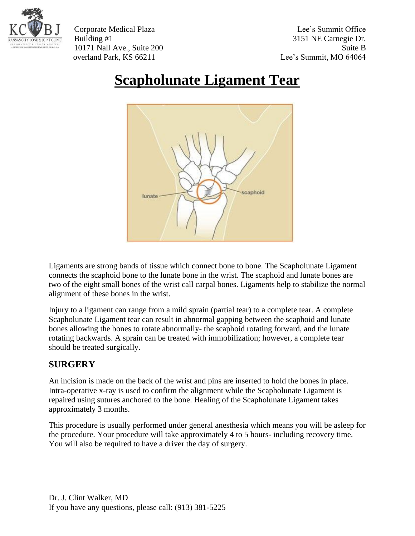

Corporate Medical Plaza Lee's Summit Office Building #1 3151 NE Carnegie Dr. 10171 Nall Ave., Suite 200 Suite B overland Park, KS 66211 Lee's Summit, MO 64064

## **Scapholunate Ligament Tear**



Ligaments are strong bands of tissue which connect bone to bone. The Scapholunate Ligament connects the scaphoid bone to the lunate bone in the wrist. The scaphoid and lunate bones are two of the eight small bones of the wrist call carpal bones. Ligaments help to stabilize the normal alignment of these bones in the wrist.

Injury to a ligament can range from a mild sprain (partial tear) to a complete tear. A complete Scapholunate Ligament tear can result in abnormal gapping between the scaphoid and lunate bones allowing the bones to rotate abnormally- the scaphoid rotating forward, and the lunate rotating backwards. A sprain can be treated with immobilization; however, a complete tear should be treated surgically.

## **SURGERY**

An incision is made on the back of the wrist and pins are inserted to hold the bones in place. Intra-operative x-ray is used to confirm the alignment while the Scapholunate Ligament is repaired using sutures anchored to the bone. Healing of the Scapholunate Ligament takes approximately 3 months.

This procedure is usually performed under general anesthesia which means you will be asleep for the procedure. Your procedure will take approximately 4 to 5 hours- including recovery time. You will also be required to have a driver the day of surgery.